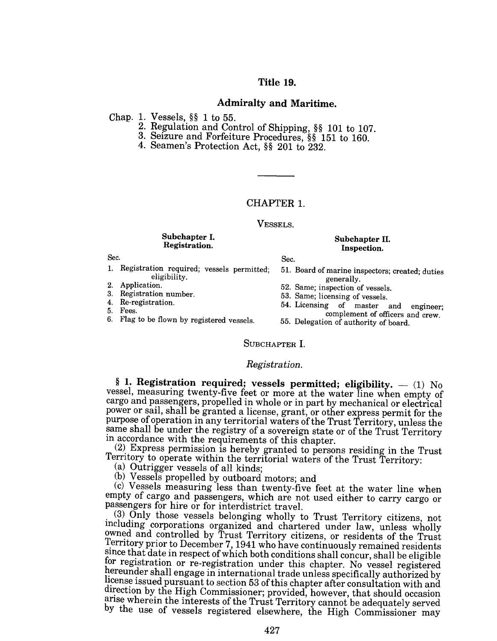# Title 19.

## Admiralty and Maritime.

Chap. 1. Vessels, §§ 1 to 55.

- 2. Regulation and Control of Shipping, §§ 101 to 107.
- 3. Seizure and Forfeiture Procedures, §§ 151 to 160.
- 4. Seamen's Protection Act, §§ 201 to 232.

# CHAPTER 1.

#### VESSELS.

#### Subchapter I. Registration.

### Sec.

1. Registration required; vessels permitted; 51. Board of marine inspectors; created; duties eligibility. eligibility. generally.<br>Application. 52 Same inspection of

Re-registration.

5. Fees.

6. Flag to be flown by registered vessels.

Subchapter II. Inspection.

Sec.

- 
- 2. Application.<br>
3. Registration number.<br>
53. Same: licensing of vessels.
- 3. Registration number. 53. Same; licensing of vessels.<br>4. Re-registration 54. Licensing of vessels.
	- 54. Licensing of master and engineer;
	- complement of officers and crew. 55. Delegation of authority of board.

# SUBCHAPTER I.

## *Registration.*

§ 1. Registration required; vessels permitted; eligibility.  $-$  (1) No vessel, measuring twenty-five feet or more at the water line when empty of cargo and passengers, propelled in whole or in part by mechanical or electrical power or sail, shall be granted a license, grant, or other express permit for the purpose of operation in any territorial waters of the Trust Territory, unless the same shall be under the registry of a sovereign state or of the Trust Territory in accordance with the requirements of this chapter.

(2) Express permission is hereby granted to persons residing in the Trust Territory to operate within the territorial waters of the Trust Territory:

(a) Outrigger vessels of all kinds;

(b) Vessels propelled by outboard motors; and

(c) Vessels measuring less than twenty-five feet at the water line when empty of cargo and passengers, which are not used either to carry cargo or

(3) Only those vessels belonging wholly to Trust Territory citizens, not mcluding corporations organized and chartered under law, unless wholly owned and controlled by Trust Territory citizens, or residents of the Trust Territory prior to December 7, 1941 who have continuously remained residents since that date in respect of which both conditions shall concur, shall be eligible for registration or re-registration under this chapter. No vessel registered hereunder shall engage in international trade unless specifically authorized by license issued pursuant to section 53 of this chapter after consultation with and direction by the High Commissioner; provided, however, that should occasion arise wherein the interests of the Trust Territory cannot be adequately served by the use of vessels registered elsewhere, the High Commissioner may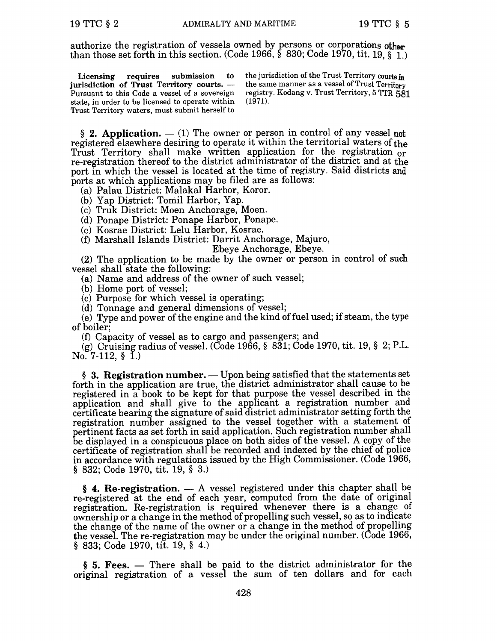authorize the registration of vessels owned by persons or corporations other than those set forth in this section. (Code 1966,  $\frac{2}{5}$  830; Code 1970, tit. 19,  $\frac{2}{5}$  1.)

Licensing requires submission to jurisdiction of Trust Territory courts.  $-$ Pursuant to this Code a vessel of a sovereign state, in order to be licensed to operate within Trust Territory waters, must submit herself to

the jurisdiction of the Trust Territory courts in the same manner as a vessel of Trust Territory registry. Kodang v. Trust Territory, 5 TTR 581 (1971).

§ 2. Application.  $-$  (1) The owner or person in control of any vessel not registered elsewhere desiring to operate it within the territorial waters of the Trust Territory shall make written application for the registration or re-registration thereof to the district administrator of the district and at the port in which the vessel is located at the time of registry. Said districts and ports at which applications may be filed are as follows:

(a) Palau District: Malakal Harbor, Koror.

(b) Yap District: Tomil Harbor, Yap.

(c) Truk District: Moen Anchorage, Moen.

(d) Ponape District: Ponape Harbor, Ponape.

(e) Kosrae District: Lelu Harbor, Kosrae.

(0 Marshall Islands District: Darrit Anchorage, Majuro,

Ebeye Anchorage, Ebeye.

(2) The application to be made by the owner or person in control of such vessel shall state the following:

(a) Name and address of the owner of such vessel;

(b) Home port of vessel;

(c) Purpose for which vessel is operating;

(d) Tonnage and general dimensions of vessel;

(e) Type and power of the engine and the kind of fuel used; if steam, the type of boiler;

(0 Capacity of vessel as to cargo and passengers; and

(g) Cruising radius of vessel. (Code 1966, § 831; Code 1970, tit. 19, § 2; P.L. No. 7-112,  $\S$  1.)

 $§$  3. Registration number.  $-$  Upon being satisfied that the statements set forth in the application are true, the district administrator shall cause to be registered in a book to be kept for that purpose the vessel described in the application and shall give to the applicant a registration number and certificate bearing the signature of said district administrator setting forth the registration number assigned to the vessel together with a statement of pertinent facts as set forth in said application. Such registration number shall be displayed in a conspicuous place on both sides of the vessel. A copy of the certificate of registration shall be recorded and indexed by the chief of police in accordance with regulations issued by the High Commissioner. (Code 1966, § 832; Code 1970, tit. 19, § 3.)

 $§$  4. Re-registration.  $- A$  vessel registered under this chapter shall be re-registered at the end of each year, computed from the date of original registration. Re-registration is required whenever there is a change of ownership or a change in the method of propelling such vessel, so as to indicate the change of the name of the owner or a change in the method of propelling the vessel. The re-registration may be under the original number. (Code 1966, § 833; Code 1970, tit. 19, § 4.)

§ 5. Fees. — There shall be paid to the district administrator for the original registration of a vessel the sum of ten dollars and for each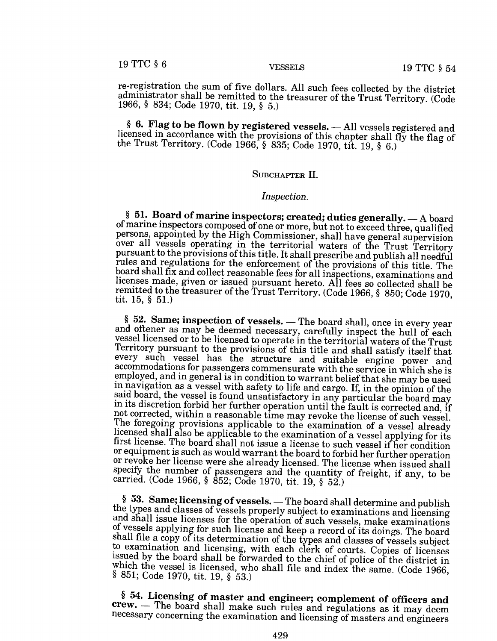re-registration the sum of five dollars. All such fees collected by the district administrator shall be remitted to the treasurer of the Trust Territory. (Code 1966, § 834; Code 1970, tit. 19, § 5.)

§ 6. Flag to be flown by registered vessels. - All vessels registered and licensed in accordance with the provisions of this chapter shall fly the flag of the Trust Territory. (Code 1966, § 835; Code 1970, tit. 19, § 6.)

### SUBCHAPTER II.

#### *Inspection.*

§ 51. Board of marine inspectors; created; duties generally.  $-$  A board of marine inspectors composed of one or more, but not to exceed three, qualified persons, appointed by the High Commissioner, shall have general supervision over all vessels operating in the territorial waters of the Trust Territory pursuant to the provisions ofthis title. It shall prescribe and publish all needful rules and regulations for the enforcement of the provisions of this title. The board shall fix and collect reasonable fees for all inspections, examinations and licenses made, given or issued pursuant hereto. All fees so collected shall be remitted to the treasurer of the Trust Territory. (Code 1966, § 850; Code 1970, tit. 15, § 51.)

§ 52. Same; inspection of vessels. - The board shall, once in every year and oftener as may be deemed necessary, carefully inspect the hull of each vessel licensed or to be licensed to operate in the territorial waters of the Trust Territory pursuant to the provisions of this title and shall satisfy itself that every such vessel has the structure and suitable engine power and accommodations for passengers commensurate with the service in which she is employed, and in general is in condition to warrant belief that she may be used in navigation as a vessel with safety to life and cargo. If, in the opinion of the said board, the vessel is found unsatisfactory in any particular the board may in its discretion forbid her further operation until the fault is corrected and, if not corrected, within a reasonable time may revoke the license of such vessel. The foregoing provisions applicable to the examination of a vessel already licensed shall also be applicable to the examination of a vessel applying for its first license. The board shall not issue a license to such vessel if her condition or equipment is such as would warrant the board to forbid her further operation or revoke her license were she already licensed. The license when issued shall specify the number of passengers and the quantity of freight, if any, to be carried. (Code 1966, § 852; Code 1970, tit. 19, § 52.)

§ 53. Same; licensing of vessels. - The board shall determine and publish the types and classes of vessels properly subject to examinations and licensing and shall issue licenses for the operation of such vessels, make examinations of vessels applying for such license and keep a record of its doings. The board shall file a copy of its determination of the types and classes of vessels subject to examination and licensing, with each clerk of courts. Copies of licenses issued by the board shall be forwarded to the chief of police of the district in which the vessel is licensed, who shall file and index the same. (Code 1966, § 851; Code 1970, tit. 19, § 53.)

§ 54. Licensing of master and engineer; complement of officers and crew. - The board shall make such rules and regulations as it may deem necessary concerning the examination and licensing of masters and engineers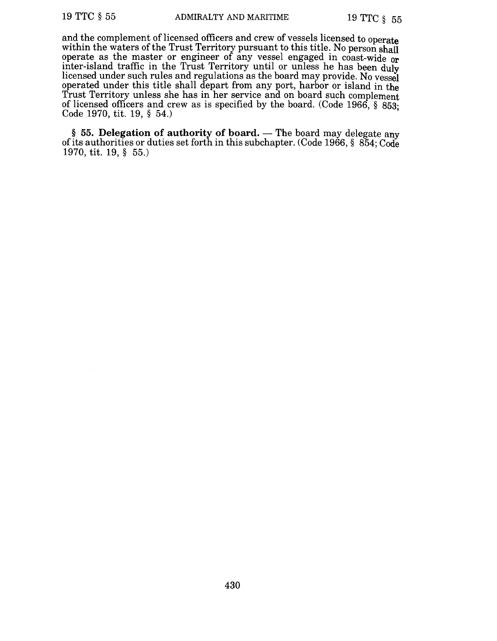and the complement of licensed officers and crew of vessels licensed to operate within the waters of the Trust Territory pursuant to this title. No person shall operate as the master or engineer of any vessel engaged in coast-wide or inter-island traffic in the Trust Territory until or unless he has been duly licensed under such rules and regulations as the board may provide. No vessel operated under this title shall depart from any port, harbor or island in the Trust Territory unless she has in her service and on board such complement of licensed officers and crew as is specified by the board. (Code 1966, § 853' Code 1970, tit. 19, § 54.) •

§ 55. Delegation of authority of board. — The board may delegate any of its authorities or duties set forth in this subchapter. (Code 1966, § 854; Code 1970, tit. 19, § 55.)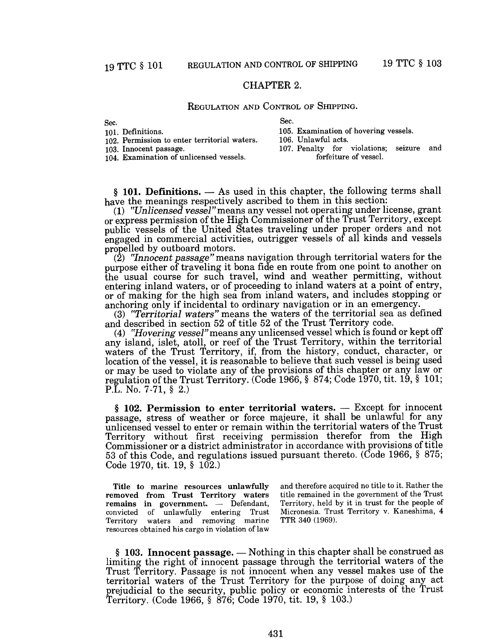# CHAPTER 2.

### REGULATION AND CONTROL OF SHIPPING.

Sec.

Sec.

| .<br>101. Definitions.<br>102. Permission to enter territorial waters. | 105. Examination of hovering vessels.<br>106. Unlawful acts. |
|------------------------------------------------------------------------|--------------------------------------------------------------|
| 103. Innocent passage.                                                 | 107. Penalty for violations; seizure and                     |
| 104. Examination of unlicensed vessels.                                | forfeiture of vessel.                                        |

 $§$  101. Definitions.  $-$  As used in this chapter, the following terms shall have the meanings respectively ascribed to them in this section:

*(1) ttUnlicensed vessel"* means any vessel not operating under license, grant or express permission of the High Commissioner of the Trust Territory, except public vessels of the United States traveling under proper orders and not engaged in commercial activities, outrigger vessels of all kinds and vessels propelled by outboard motors.

*(2) t7nnocent passage"* means navigation through territorial waters for the purpose either of traveling it bona fide en route from one point to another on the usual course for such travel, wind and weather permitting, without entering inland waters, or of proceeding to inland waters at a point of entry, or of making for the high sea from inland waters, and includes stopping or anchoring only if incidental to ordinary navigation or in an emergency.

(3) *"Territorial waters"* means the waters of the territorial sea as defined and described in section 52 of title 52 of the Trust Territory code.

*(4) ttHovering vessel"means* any unlicensed vessel which is found or kept off any island, islet, atoll, or reef of the Trust Territory, within the territorial waters of the Trust Territory, if, from the history, conduct, character, or location of the vessel, it is reasonable to believe that such vessel is being used or may be used to violate any of the provisions of this chapter or any law or regulation of the Trust Territory. (Code 1966, § 874; Code 1970, tit. 19, § 101; P.L. No. 7-71, § 2.)

 $§$  102. Permission to enter territorial waters.  $-$  Except for innocent passage, stress of weather or force majeure, it shall be unlawful for any unlicensed vessel to enter or remain within the territorial waters of the Trust Territory without first receiving permission therefor from the High Commissioner or a district administrator in accordance with provisions of title 53 of this Code, and regulations issued pursuant thereto. (Code 1966, § 875; Code 1970, tit. 19, § 102.)

Title to marine resources unlawfully removed from Trust Territory waters remains in government.  $-$  Defendant, convicted of unlawfully entering Trust Territory waters and removing marine resources obtained his cargo in violation of law

and therefore acquired no title to it. Rather the title remained in the government of the Trust Territory, held by it in trust for the people of Micronesia. Trust Territory v. Kaneshima, 4 TTR 340 (1969).

 $§$  103. Innocent passage.  $-$  Nothing in this chapter shall be construed as limiting the right of innocent passage through the territorial waters of the Trust Territory. Passage is not innocent when any vessel makes use of the territorial waters of the Trust Territory for the purpose of doing any act prejudicial to the security, public policy or economic interests of the Trust Territory. (Code 1966, § 876; Code 1970, tit. 19, § 103.)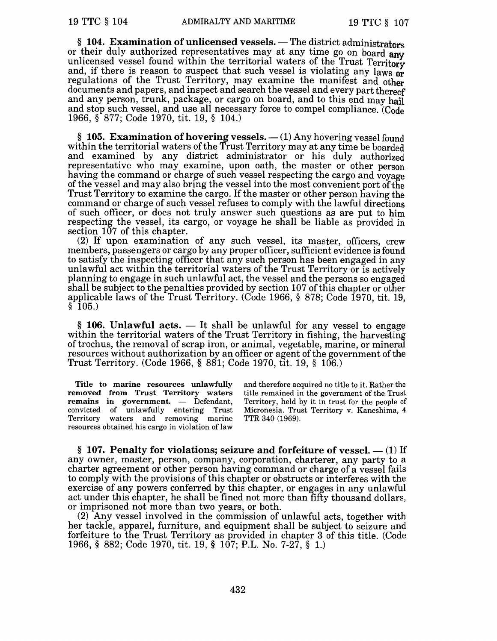§ 104. Examination of unlicensed vessels. - The district administrators or their duly authorized representatives may at any time go on board any unlicensed vessel found within the territorial waters of the Trust Territory and, if there is reason to suspect that such vessel is violating any laws or regulations of the Trust Territory, may examine the manifest and other documents and papers, and inspect and search the vessel and every part thereof and any person, trunk, package, or cargo on board, and to this end may hail and stop such vessel, and use all necessary force to compel compliance. (Code 1966, § 877; Code 1970, tit. 19, § 104.)

§ 105. Examination of hovering vessels.  $-$  (1) Any hovering vessel found within the territorial waters of the Trust Territory may at any time be boarded and examined by any district administrator or his duly authorized representative who may examine, upon oath, the master or other person having the command or charge of such vessel respecting the cargo and voyage of the vessel and may also bring the vessel into the most convenient port ofthe Trust Territory to examine the cargo. If the master or other person having the command or charge of such vessel refuses to comply with the lawful directions of such officer, or does not truly answer such questions as are put to him respecting the vessel, its cargo, or voyage he shall be liable as provided in section  $107$  of this chapter.

(2) If upon examination of any such vessel, its master, officers, crew members, passengers or cargo by any proper officer, sufficient evidence is found to satisfy the inspecting officer that any such person has been engaged in any unlawful act within the territorial waters of the Trust Territory or is actively planning to engage in such unlawful act, the vessel and the persons so engaged shall be subject to the penalties provided by section 107 of this chapter or other applicable laws of the Trust Territory. (Code 1966, § 878; Code 1970, tit. 19,  $§$  105.)

 $§$  106. Unlawful acts.  $-$  It shall be unlawful for any vessel to engage within the territorial waters of the Trust Territory in fishing, the harvesting of trochus, the removal of scrap iron, or animal, vegetable, marine, or mineral resources without authorization by an officer or agent of the government of the Trust Territory. (Code 1966, § 881; Code 1970, tit. 19, § 106.)

Title to marine resources unlawfully removed from Trust Territory waters remains in government. - Defendant, convicted of unlawfully entering Trust Territory waters and removing marine resources obtained his cargo in violation of law

and therefore acquired no title to it. Rather the title remained in the government of the Trust Territory, held by it in trust for the people of Micronesia. Trust Territory v. Kaneshima, 4 TTR 340 (1969).

§ 107. Penalty for violations; seizure and forfeiture of vessel.  $-$  (1) If any owner, master, person, company, corporation, charterer, any party to a charter agreement or other person having command or charge of a vessel fails to comply with the provisions of this chapter or obstructs or interferes with the exercise of any powers conferred by this chapter, or engages in any unlawful act under this chapter, he shall be fined not more than fifty thousand dollars, or imprisoned not more than two years, or both.

(2) Any vessel involved in the commission of unlawful acts, together with her tackle, apparel, furniture, and equipment shall be subject to seizure and forfeiture to the Trust Territory as provided in chapter 3 of this title. (Code 1966, § 882; Code 1970, tit. 19, § 107; P.L. No. 7-27, § 1.)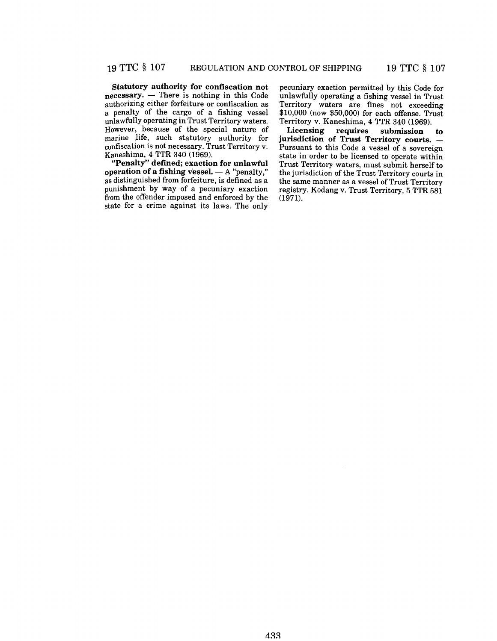Statutory authority for confiscation not  $n$ ecessary.  $-$  There is nothing in this Code authorizing either forfeiture or confiscation as a penalty of the cargo of a fishing vessel unlawfully operating in Trust Territory waters. However, because of the special nature of marine life, such statutory authority for confiscation is not necessary. Trust Territory v. Kaneshima, 4 TTR 340 (1969).

"Penalty" defined; exaction for unlawful operation of a fishing vessel.  $- A$  "penalty," as distinguished from forfeiture, is defined as a punishment by way of a pecuniary exaction from the offender imposed and enforced by the state for a crime against its laws. The only pecuniary exaction permitted by this Code for unlawfully operating a fishing vessel in Trust Territory waters are fines not exceeding \$10,000 (now \$50,000) for each offense. Trust Territory v. Kaneshima, 4 TTR 340 (1969).

Licensing requires submission to jurisdiction of Trust Territory courts. -Pursuant to this Code a vessel of a sovereign state in order to be licensed to operate within Trust Territory waters, must submit herself to the jurisdiction of the Trust Territory courts in the same manner as a vessel of Trust Territory registry. Kodang v. Trust Territory, 5 TTR 581 (1971).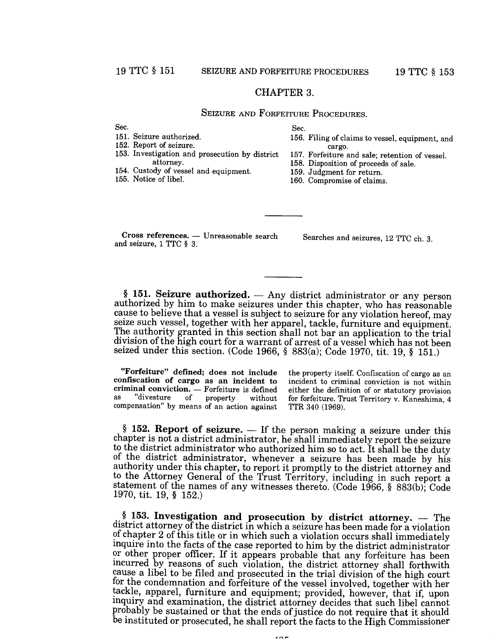#### CHAPTER 3.

# SEIZURE AND FORFEITURE PROCEDURES.

Sec.

151. Seizure authorized.

Sec.

156. Filing of claims to vessel, equipment, and

152. Report of seizure.

- cargo. 157. Forfeiture and sale; retention of vessel.
- 153. Investigation and prosecution by district attorney.
- 154. Custody of vessel and equipment.

155. Notice of libel.

- 158. Disposition of proceeds of sale.
- 159. Judgment for return.
	- 160. Compromise of claims.

Cross references. - Unreasonable search and seizure, 1 TTC § 3.

Searches and seizures, 12 TTC ch. 3.

 $§$  151. Seizure authorized.  $-$  Any district administrator or any person authorized by him to make seizures under this chapter, who has reasonable cause to believe that a vessel is subject to seizure for any violation hereof, may seize such vessel, together with her apparel, tackle, furniture and equipment. The authority granted in this section shall not bar an application to the trial division of the high court for a warrant of arrest of a vessel which has not been seized under this section. (Code 1966, § 883(a); Code 1970, tit. 19, § 151.)

"Forfeiture" defined; does not include confiscation of cargo as an incident to criminal conviction. — Forfeiture is defined<br>as "divesture of property without "divesture of property without compensation" by means of an action against

the property itself. Confiscation of cargo as an incident to criminal conviction is not within either the definition of or statutory provision for forfeiture. Trust Territory v. Kaneshima, 4 TTR 340 (1969).

 $§$  152. Report of seizure.  $-$  If the person making a seizure under this chapter is not a district administrator, he shall immediately report the seizure to the district administrator who authorized him so to act. It shall be the duty of the district administrator, whenever a seizure has been made by his authority under this chapter, to report it promptly to the district attorney and to the Attorney General of the Trust Territory, including in such report a statement of the names of any witnesses thereto. (Code 1966, § 883(b); Code 1970, tit. 19, § 152.)

 $§$  153. Investigation and prosecution by district attorney.  $-$  The district attorney of the district in which a seizure has been made for a violation of chapter 2 of this title or in which such a violation occurs shall immediately inquire into the facts of the case reported to him by the district administrator or other proper officer. If it appears probable that any forfeiture has been ncurred by reasons of such violation, the district attorney shall forthwith cause a libel to be filed and prosecuted in the trial division of the high court for the condemnation and forfeiture of the vessel involved, together with her tackle, apparel, furniture and equipment; provided, however, that if, upon inquiry and examination, the district attorney decides that such libel cannot probably be sustained or that the ends of justice do not require that it should be instituted or prosecuted, he shall report the facts to the High Commissioner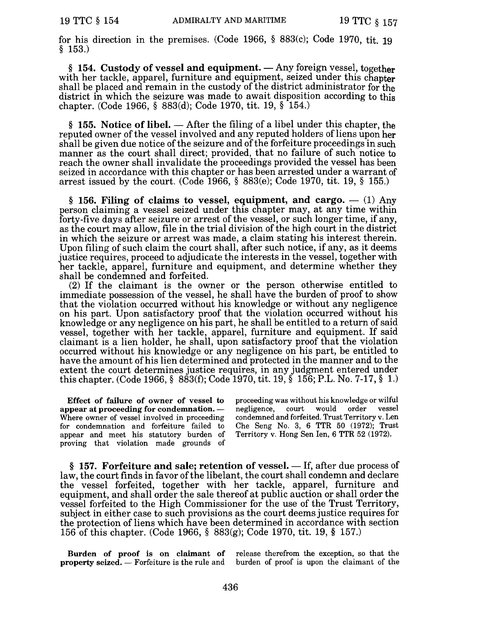for his direction in the premises. (Code 1966, § 883(c); Code 1970, tit. 19 § 153.)

§ 154. Custody of vessel and equipment.  $-$  Any foreign vessel, together with her tackle, apparel, furniture and equipment, seized under this chapter shall be placed and remain in the custody of the district administrator for the district in which the seizure was made to await disposition according to this chapter. (Code 1966, § 883(d); Code 1970, tit. 19, § 154.)

§ 155. Notice of libel.  $-$  After the filing of a libel under this chapter, the reputed owner of the vessel involved and any reputed holders of liens upon her shall be given due notice of the seizure and of the forfeiture proceedings in such manner as the court shall direct; provided, that no failure of such notice to reach the owner shall invalidate the proceedings provided the vessel has been seized in accordance with this chapter or has been arrested under a warrant of arrest issued by the court. (Code 1966, § 883(e); Code 1970, tit. 19, § 155.)

§ 156. Filing of claims to vessel, equipment, and cargo.  $-$  (1) Any person claiming a vessel seized under this chapter may, at any time within forty-five days after seizure or arrest of the vessel, or such longer time, if any, as the court may allow, file in the trial division of the high court in the district in which the seizure or arrest was made, a claim stating his interest therein. Upon filing of such claim the court shall, after such notice, if any, as it deems justice requires, proceed to adjudicate the interests in the vessel, together with her tackle, apparel, furniture and equipment, and determine whether they shall be condemned and forfeited.

 $(2)$  If the claimant is the owner or the person otherwise entitled to immediate possession of the vessel, he shall have the burden of proof to show that the violation occurred without his knowledge or without any negligence on his part. Upon satisfactory proof that the violation occurred without his knowledge or any negligence on his part, he shall be entitled to a return of said vessel, together with her tackle, apparel, furniture and equipment. If said claimant is a lien holder, he shall, upon satisfactory proof that the violation occurred without his knowledge or any negligence on his part, be entitled to have the amount of his lien determined and protected in the manner and to the extent the court determines justice requires, in any judgment entered under this chapter. (Code 1966, § 883(f); Code 1970, tit. 19, § 156; P.L. No. 7-17, § 1.)

Effect of failure of owner of vessel to appear at proceeding for condemnation. -Where owner of vessel involved in proceeding for condemnation and forfeiture failed to appear and meet his statutory burden of proving that violation made grounds of

proceeding was without his knowledge or wilful<br>negligence court, would order vessel negligence, court would order condemned and forfeited. Trust Territory v. Len Che Seng No.3, 6 TTR 50 (1972); Trust Territory v. Hong Sen len, 6 TTR 52 (1972).

 $§$  157. Forfeiture and sale; retention of vessel.  $-$  If, after due process of law, the court finds in favor of the libelant, the court shall condemn and declare the vessel forfeited, together with her tackle, apparel, furniture and equipment, and shall order the sale thereof at public auction or shall order the vessel forfeited to the High Commissioner for the use of the Trust Territory, subject in either case to such provisions as the court deems justice requires for the protection of liens which have been determined in accordance with section 156 of this chapter. (Code 1966, § 883(g); Code 1970, tit. 19, § 157.)

Burden of proof is on claimant of release therefrom the exception, so that the property seized. - Forfeiture is the rule and burden of proof is upon the claimant of the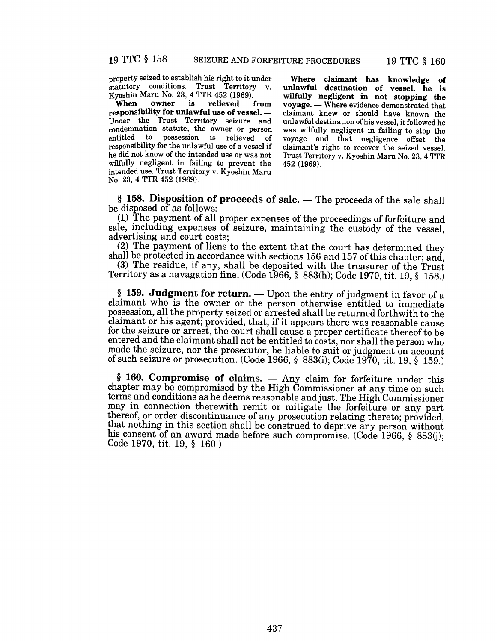property seized to establish his right to it under statutory conditions. Trust Territory Kyoshin Maru No. 23, 4 TTR 452 (1969).<br>When owner is relieved

relieved from responsibility for unlawful use of vessel. -Under the Trust Territory seizure and condemnation statute, the owner or person possession is relieved of responsibility for the unlawful use of a vessel if he did not know of the intended use or was not wilfully negligent in failing to prevent the intended use. Trust Territory v. Kyoshin Maru No. 23, 4 TTR 452 (1969).

Where claimant has knowledge of unlawful destination of vessel, he is wilfully negligent in not stopping the voyage. - Where evidence demonstrated that claimant knew or should have known the unlawful destination of his vessel, it followed he was wilfully negligent in failing to stop the voyage and that negligence offset the claimant's right to recover the seized vessel. Trust Territory v. Kyoshin Maru No. 23, 4 TTR 452 (1969).

 $§$  158. Disposition of proceeds of sale.  $-$  The proceeds of the sale shall be disposed of as follows:

(1) The payment of all proper expenses of the proceedings of forfeiture and sale, including expenses of seizure, maintaining the custody of the vessel, advertising and court costs;

(2) The payment of liens to the extent that the court has determined they shall be protected in accordance with sections 156 and 157 of this chapter; and,

(3) The residue, if any, shall be deposited with the treasurer of the Trust Territory as a navagation fine. (Code 1966, § 883(h); Code 1970, tit. 19, § 158.)

§ 159. Judgment for return.  $-$  Upon the entry of judgment in favor of a claimant who is the owner or the person otherwise entitled to immediate possession, all the property seized or arrested shall be returned forthwith to the claimant or his agent; provided, that, if it appears there was reasonable cause for the seizure or arrest, the court shall cause a proper certificate thereof to be entered and the claimant shall not be entitled to costs, nor shall the person who made the seizure, nor the prosecutor, be liable to suit or judgment on account of such seizure or prosecution. (Code 1966, § 883(i); Code 1970, tit. 19, § 159.)

 $§$  160. Compromise of claims.  $-$  Any claim for forfeiture under this chapter may be compromised by the High Commissioner at any time on such terms and conditions as he deems reasonable andjust. The High Commissioner may in connection therewith remit or mitigate the forfeiture or any part thereof, or order discontinuance of any prosecution relating thereto; provided, that nothing in this section shall be construed to deprive any person without his consent of an award made before such compromise. (Code 1966, § 883(j); Code 1970, tit. 19, § 160.)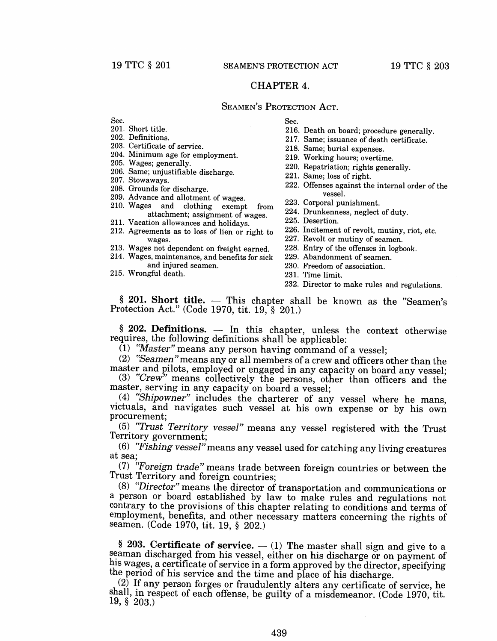# CHAPTER 4.

# SEAMEN'S PROTECTION ACT.

Sec.

- 201. Short title.
- 202. Definitions.
- 203. Certificate of service.
- 204. Minimum age for employment.
- 205. Wages; generally.
- 206. Same; unjustifiable discharge.
- 207. Stowaways.
- 208. Grounds for discharge.
- 209. Advance and allotment of wages.
- 210. Wages and clothing exempt from attachment; assignment of wages.
- 211. Vacation allowances and holidays.
- 212. Agreements as to loss of lien or right to wages.
- 213. Wages not dependent on freight earned.
- 214. Wages, maintenance, and benefits for sick and injured seamen.
- 215. Wrongful death.
- Sec.
- 216. Death on board; procedure generally.
- 217. Same; issuance of death certificate.
- 218. Same; burial expenses.
- 219. Working hours; overtime.
- 220. Repatriation; rights generally.
- 221. Same; loss of right.
- 222. Offenses against the internal order of the vessel.
- 223. Corporal punishment.
- 224. Drunkenness, neglect of duty.
- 225. Desertion.
- 226. Incitement of revolt, mutiny, riot, etc.
- 227. Revolt or mutiny of seamen.
- 228. Entry of the offenses in logbook.
- 229. Abandonment of seamen.
- 230. Freedom of association.
- 231. Time limit.
- 232. Director to make rules and regulations.

 $§$  201. Short title.  $-$  This chapter shall be known as the "Seamen's Protection Act." (Code 1970, tit. 19, § 201.)

 $§$  202. Definitions.  $-$  In this chapter, unless the context otherwise requires, the following definitions shall be applicable:

(1) *"Master"* means any person having command of a vessel;

(2) "Seamen" means any or all members of a crew and officers other than the master and pilots, employed or engaged in any capacity on board any vessel;

(3) "Crew" means collectively the persons, other than officers and the master, serving in any capacity on board a vessel;

(4) "Shipowner" includes the charterer of any vessel where he mans, victuals, and navigates such vessel at his own expense or by his own procurement;

*(5) rrTrust Territory vessel"* means any vessel registered with the Trust Territory government;

*(6) "Fishing vessel"* means any vessel used for catching any living creatures at sea;

*(7) ''Foreign trade"* means trade between foreign countries or between the Trust Territory and foreign countries;

*(8) "Director"* means the director of transportation and communications or a person or board established by law to make rules and regulations not contrary to the provisions of this chapter relating to conditions and terms of employment, benefits, and other necessary matters concerning the rights of seamen. (Code 1970, tit. 19, § 202.)

§ 203. Certificate of service.  $-$  (1) The master shall sign and give to a seaman discharged from his vessel, either on his discharge or on payment of his wages, a certificate of service in a form approved by the director, specifying the period of his service and the time and place of his discharge.

(2) If any person forges or fraudulently alters any certificate of service, he shall, in respect of each offense, be guilty of a misdemeanor. (Code 1970, tit. 19, § 203.)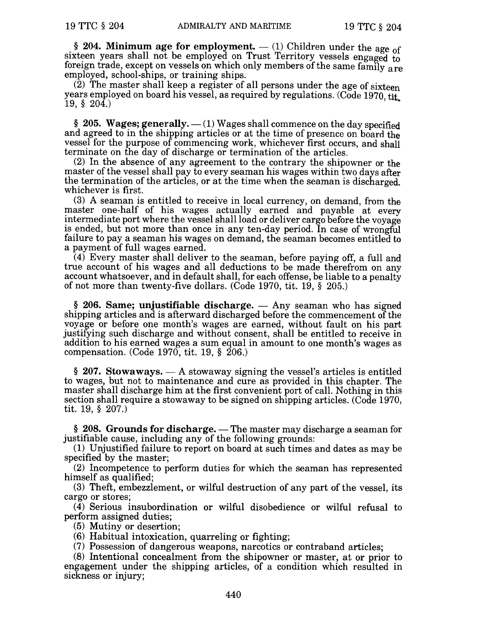§ 204. Minimum age for employment.  $-$  (1) Children under the age of sixteen years shall not be employed on Trust Territory vessels engaged to foreign trade, except on vessels on which only members of the same family are employed, school-ships, or training ships.

 $(2)$  The master shall keep a register of all persons under the age of sixteen years employed on board his vessel, as required by regulations. (Code 1970, tit.  $19, \, \S \, 204.$ )

§ 205. Wages; generally.  $-$  (1) Wages shall commence on the day specified and agreed to in the shipping articles or at the time of presence on board the vessel for the purpose of commencing work, whichever first occurs, and shall terminate on the day of discharge or termination of the articles.

(2) In the absence of any agreement to the contrary the shipowner or the master of the vessel shall pay to every seaman his wages within two days after the termination of the articles, or at the time when the seaman is discharged. whichever is first.

(3) A seaman is entitled to receive in local currency, on demand, from the master one-half of his wages actually earned and payable at every intermediate port where the vessel shall load or deliver cargo before the voyage is ended, but not more than once in any ten-day period. In case of wrongful failure to pay a seaman his wages on demand, the seaman becomes entitled to a payment of full wages earned.

(4) Every master shall deliver to the seaman, before paying off, a full and true account of his wages and all deductions to be made therefrom on any account whatsoever, and in default shall, for each offense, be liable to a penalty of not more than twenty-five dollars. (Code 1970, tit. 19, § 205.)

 $§$  206. Same; unjustifiable discharge.  $-$  Any seaman who has signed shipping articles and is afterward discharged before the commencement of the voyage or before one month's wages are earned, without fault on his part justifying such discharge and without consent, shall be entitled to receive in addition to his earned wages a sum equal in amount to one month's wages as compensation. (Code 1970, tit. 19, § 206.)

 $\S$  207. Stowaways.  $- A$  stowaway signing the vessel's articles is entitled to wages, but not to maintenance and cure as provided in this chapter. The master shall discharge him at the first convenient port of call. Nothing in this section shall require a stowaway to be signed on shipping articles. (Code 1970, tit. 19, § 207.)

 $§$  208. Grounds for discharge. — The master may discharge a seaman for justifiable cause, including any of the following grounds:

(1) Unjustified failure to report on board at such times and dates as may be specified by the master;

(2) Incompetence to perform duties for which the seaman has represented himself as qualified;

(3) Theft, embezzlement, or wilful destruction of any part of the vessel, its cargo or stores;

(4) Serious insubordination or wilful disobedience or wilful refusal to perform assigned duties;

(5) Mutiny or desertion;

(6) Habitual intoxication, quarreling or fighting;

(7) Possession of dangerous weapons, narcotics or contraband articles;

(8) Intentional concealment from the shipowner or master, at or prior to engagement under the shipping articles, of a condition which resulted in sickness or injury;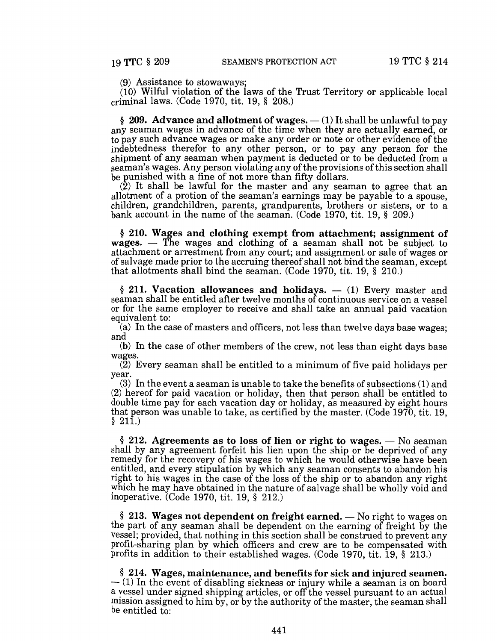(9) Assistance to stowaways;

(10) Wilful violation of the laws of the Trust Territory or applicable local criminal laws. (Code 1970, tit. 19, § 208.)

§ 209. Advance and allotment of wages.  $-$  (1) It shall be unlawful to pay any seaman wages in advance of the time when they are actually earned, or to pay such advance wages or make any order or note or other evidence of the indebtedness therefor to any other person, or to pay any person for the shipment of any seaman when payment is deducted or to be deducted from a seaman's wages. Any person violating any of the provisions of this section shall be punished with a fine of not more than fifty dollars.

 $(2)$  It shall be lawful for the master and any seaman to agree that an allotment of a protion of the seaman's earnings may be payable to a spouse, children, grandchildren, parents, grandparents, brothers or sisters, or to a bank account in the name of the seaman. (Code 1970, tit. 19, § 209.)

§ 210. Wages and clothing exempt from attachment; assignment of wages.  $-$  The wages and clothing of a seaman shall not be subject to attachment or arrestment from any court; and assignment or sale of wages or of salvage made prior to the accruing thereof shall not bind the seaman, except that allotments shall bind the seaman. (Code 1970, tit. 19, § 210.)

 $§$  211. Vacation allowances and holidays.  $-$  (1) Every master and seaman shall be entitled after twelve months of continuous service on a vessel or for the same employer to receive and shall take an annual paid vacation equivalent to:

(a) In the case of masters and officers, not less than twelve days base wages; and

(b) In the case of other members of the crew, not less than eight days base wages.

 $(2)$  Every seaman shall be entitled to a minimum of five paid holidays per year.

(3) In the event a seaman is unable to take the benefits of subsections (1) and (2) hereof for paid vacation or holiday, then that person shall be entitled to double time pay for each vacation day or holiday, as measured by eight hours that person was unable to take, as certified by the master. (Code 1970, tit. 19, § 211.)

 $§$  212. Agreements as to loss of lien or right to wages.  $-$  No seaman shall by any agreement forfeit his lien upon the ship or be deprived of any remedy for the recovery of his wages to which he would otherwise have been entitled, and every stipulation by which any seaman consents to abandon his right to his wages in the case of the loss of the ship or to abandon any right which he may have obtained in the nature of salvage shall be wholly void and inoperative. (Code 1970, tit. 19, § 212.)

 $§$  213. Wages not dependent on freight earned.  $-$  No right to wages on the part of any seaman shall be dependent on the earning of freight by the vessel; provided, that nothing in this section shall be construed to prevent any profit-sharing plan by which officers and crew are to be compensated with profits in addition to their established wages. (Code 1970, tit. 19, § 213.)

§ 214. Wages, maintenance, and benefits for sick and injured seamen.  $-$  (1) In the event of disabling sickness or injury while a seaman is on board a vessel under signed shipping articles, or off the vessel pursuant to an actual mission assigned to him by, or by the authority of the master, the seaman shall be entitled to: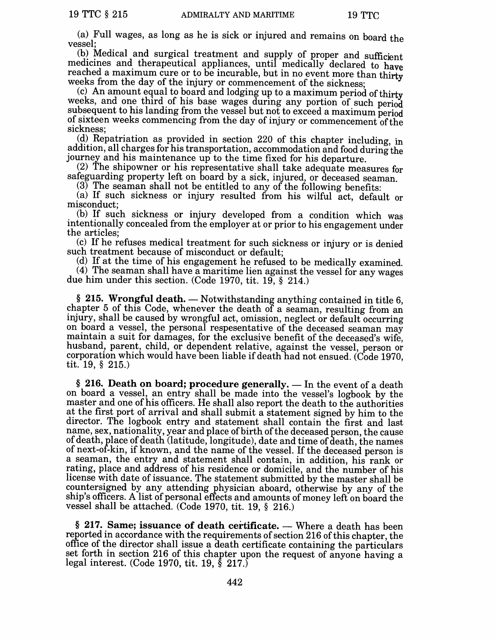(a) Full wages, as long as he is sick or injured and remains on board the vessel;

(b) Medical and surgical treatment and supply of proper and sufficient medicines and therapeutical appliances, until medically declared to have reached a maximum cure or to be incurable, but in no event more than thirty weeks from the day of the injury or commencement of the sickness;

(c) An amount equal to board and lodging up to a maximum period of thirty weeks, and one third of his base wages during any portion of such period subsequent to his landing from the vessel but not to exceed a maximum period of sixteen weeks commencing from the day of injury or commencement of the sickness;

(d) Repatriation as provided in section 220 of this chapter including, in addition, all charges for his transportation, accommodation and food during the journey and his maintenance up to the time fixed for his departure.

(2) The shipowner or his representative shall take adequate measures for safeguarding property left on board by a sick, injured, or deceased seaman.

 $(3)$  The seaman shall not be entitled to any of the following benefits:

(a) If such sickness or injury resulted from his wilful act, default or misconduct;

(b) If such sickness or injury developed from a condition which was intentionally concealed from the employer at or prior to his engagement under the articles;

(c) If he refuses medical treatment for such sickness or injury or is denied such treatment because of misconduct or default;

(d) If at the time of his engagement he refused to be medically examined. (4) The seaman shall have a maritime lien against the vessel for any wages due him under this section. (Code 1970, tit. 19, § 214.)

§ 215. Wrongful death.  $-$  Notwithstanding anything contained in title 6, chapter 5 of this Code, whenever the death of a seaman, resulting from an injury, shall be caused by wrongful act, omission, neglect or default occurring on board a vessel, the personal respesentative of the deceased seaman may maintain a suit for damages, for the exclusive benefit of the deceased's wife, husband, parent, child, or dependent relative, against the vessel, person or corporation which would have been liable if death had not ensued. (Code 1970, tit. 19, § 215.)

§ 216. Death on board; procedure generally.  $-$  In the event of a death on board a vessel, an entry shall be made into the vessel's logbook by the master and one of his officers. He shall also report the death to the authorities at the first port of arrival and shall submit a statement signed by him to the director. The logbook entry and statement shall contain the first and last name, sex, nationality, year and place of birth of the deceased person, the cause of death, place of death (latitude, longitude), date and time of death, the names of next-of-kin, if known, and the name of the vessel. If the deceased person is a seaman, the entry and statement shall contain, in addition, his rank or rating, place and address of his residence or domicile, and the number of his license with date of issuance. The statement submitted by the master shall be countersigned by any attending physician aboard, otherwise by any of the ship's officers. A list of personal effects and amounts of money left on board the vessel shall be attached. (Code 1970, tit. 19, § 216.)

 $§$  217. Same; issuance of death certificate.  $-$  Where a death has been reported in accordance with the requirements of section 216 of this chapter, the office of the director shall issue a death certificate containing the particulars set forth in section 216 of this chapter upon the request of anyone having a legal interest. (Code 1970, tit. 19, § 217.)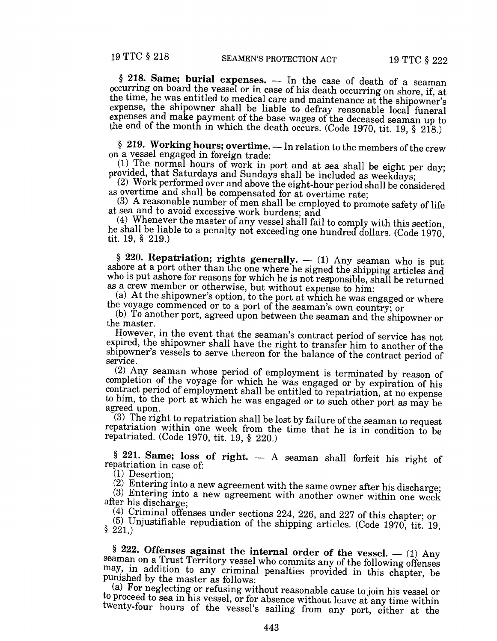$§$  218. Same; burial expenses.  $-$  In the case of death of a seaman occurring on board the vessel or in case of his death occurring on shore, if, at the time, he was entitled to medical care and maintenance at the shipowner's expense, the shipowner shall be liable to defray reasonable local funeral expenses and make payment of the base wages of the deceased seaman up to the end of the month in which the death occurs. (Code 1970, tit. 19, § 218.)

§ 219. Working hours; overtime. - In relation to the members of the crew on a vessel engaged in foreign trade:

(1) The normal hours of work in port and at sea shall be eight per day; provided, that Saturdays and Sundays shall be included as weekdays;

(2) Work performed over and above the eight-hour period shall be considered as overtime and shall be compensated for at overtime rate;

 $(3)$  A reasonable number of men shall be employed to promote safety of life at sea and to avoid excessive work burdens; and

(4) Whenever the master of any vessel shall fail to comply with this section, he shall be liable to a penalty not exceeding one hundred dollars. (Code 1970, tit. 19, § 219.)

§ 220. Repatriation; rights generally.  $-$  (1) Any seaman who is put ashore at a port other than the one where he signed the shipping articles and who is put ashore for reasons for which he is not responsible, shall be returned as a crew member or otherwise, but without expense to him:

 $(a)$  At the shipowner's option, to the port at which he was engaged or where the voyage commenced or to a port of the seaman's own country; or

(b) To another port, agreed upon between the seaman and the shipowner or the master.

However, in the event that the seaman's contract period of service has not expired, the shipowner shall have the right to transfer him to another of the shipowner's vessels to serve thereon for the balance of the contract period of service.

(2) Any seaman whose period of employment is terminated by reason of completion of the voyage for which he was engaged or by expiration of his contract period of employment shall be entitled to repatriation, at no expense to him, to the port at which he was engaged or to such other port as may be agreed upon.

 $(3)$  The right to repatriation shall be lost by failure of the seaman to request repatriation within one week from the time that he is in condition to be repatriated. (Code 1970, tit. 19, § 220.)

§ 221. Same; loss of right.  $-$  A seaman shall forfeit his right of repatriation in case of:

(1) Desertion;

(2) Entering into a new agreement with the same owner after his discharge;

 $(3)$  Entering into a new agreement with another owner within one week after his discharge;

(4) Criminal offenses under sections 224, 226, and 227 of this chapter; or

(5) Unjustifiable repudiation of the shipping articles. (Code 1970, tit. 19, § 221.)

§ 222. Offenses against the internal order of the vessel.  $-$  (1) Any seaman on a Trust Territory vessel who commits any of the following offenses may, in addition to any criminal penalties provided in this chapter, be punished by the master as follows:

(a) For neglecting or refusing without reasonable cause to join his vessel or to proceed to sea in his vessel, or for absence without leave at any time within twenty-four hours of the vessel's sailing from any port, either at the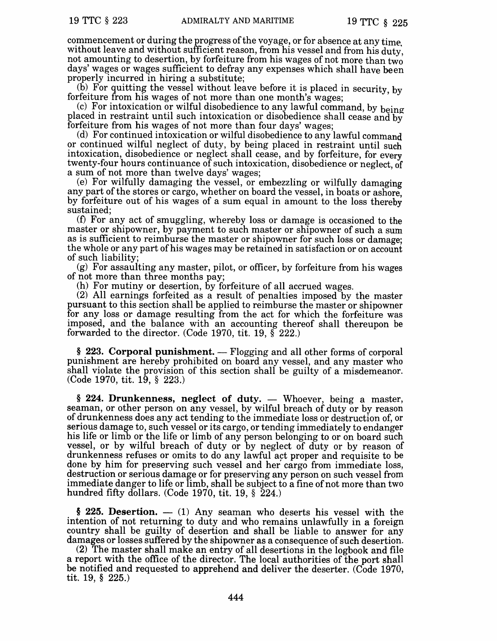commencement or during the progress of the voyage, or for absence at any time. without leave and without sufficient reason, from his vessel and from his duty. not amounting to desertion, by forfeiture from his wages of not more than two days' wages or wages sufficient to defray any expenses which shall have been properly incurred in hiring a substitute;

(b) For quitting the vessel without leave before it is placed in security, by forfeiture from his wages of not more than one month's wages:

(c) For intoxication or wilful disobedience to any lawful command, by  $b$ eing placed in restraint until such intoxication or disobedience shall cease and by forfeiture from his wages of not more than four days' wages;

(d) For continued intoxication or wilful disobedience to any lawful command or continued wilful neglect of duty, by being placed in restraint until such intoxication, disobedience or neglect shall cease, and by forfeiture, for every twenty-four hours continuance of such intoxication, disobedience or neglect, of a sum of not more than twelve days' wages;

(e) For wilfully damaging the vessel, or embezzling or wilfully damaging any part of the stores or cargo, whether on board the vessel, in boats or ashore, by forfeiture out of his wages of a sum equal in amount to the loss thereby sustained;

 $(f)$  For any act of smuggling, whereby loss or damage is occasioned to the master or shipowner, by payment to such master or shipowner of such a sum as is sufficient to reimburse the master or shipowner for such loss or damage; the whole or any part of his wages may be retained in satisfaction or on account of such liability;

 $(g)$  For assaulting any master, pilot, or officer, by forfeiture from his wages of not more than three months pay;

(h) For mutiny or desertion, by forfeiture of all accrued wages.

(2) All earnings forfeited as a result of penalties imposed by the master pursuant to this section shall be applied to reimburse the master or shipowner for any loss or damage resulting from the act for which the forfeiture was imposed, and the balance with an accounting thereof shall thereupon be forwarded to the director. (Code 1970, tit. 19,  $\S$  222.)

 $§$  223. Corporal punishment. — Flogging and all other forms of corporal punishment are hereby prohibited on board any vessel, and any master who shall violate the provision of this section shall be guilty of a misdemeanor. (Code 1970, tit. 19, § 223.)

 $§$  224. Drunkenness, neglect of duty. — Whoever, being a master, seaman, or other person on any vessel, by wilful breach of duty or by reason of drunkenness does any act tending to the immediate loss or destruction of, or serious damage to, such vessel or its cargo, or tending immediately to endanger his life or limb or the life or limb of any person belonging to or on board such vessel, or by wilful breach of duty or by neglect of duty or by reason of drunkenness refuses or omits to do any lawful act proper and requisite to be done by him for preserving such vessel and her' cargo from immediate loss, destruction or serious damage or for preserving any person on such vessel from immediate danger to life or limb, shall be subject to a fine of not more than two hundred fifty dollars. (Code 1970, tit. 19,  $\S$  224.)

 $§$  225. Desertion.  $-$  (1) Any seaman who deserts his vessel with the intention of not returning to duty and who remains unlawfully in a foreign country shall be guilty of desertion and shall be liable to answer for any damages or losses suffered by the shipowner as a consequence of such desertion.

(2) The master shall make an entry of all desertions in the logbook and file a report with the office of the director. The local authorities of the port shall be notified and requested to apprehend and deliver the deserter. (Code 1970, tit. 19, § 225.)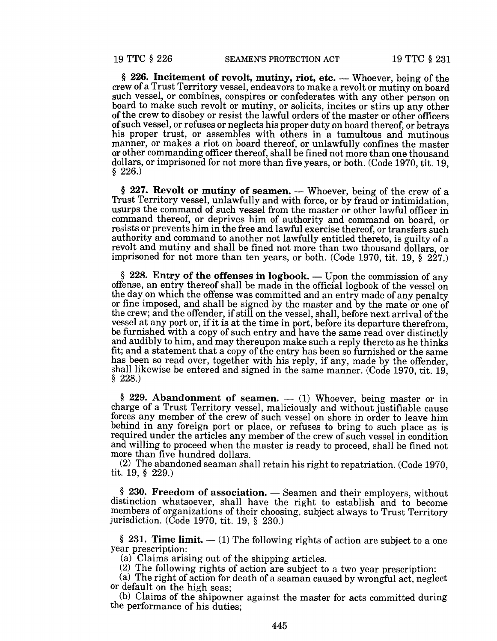$§$  226. Incitement of revolt, mutiny, riot, etc. — Whoever, being of the crew of a Trust Territory vessel, endeavors to make a revolt or mutiny on board such vessel, or combines, conspires or confederates with any other person on board to make such revolt or mutiny, or solicits, incites or stirs up any other of the crew to disobey or resist the lawful orders of the master or other officers of such vessel, or refuses or neglects his proper duty on board thereof, or betrays his proper trust, or assembles with others in a tumultous and mutinous manner, or makes a riot on board thereof, or unlawfully confines the master or other commanding officer thereof, shall be fined not more than one thousand dollars, or imprisoned for not more than five years, or both. (Code 1970, tit. 19, § 226.)

 $§$  227. Revolt or mutiny of seamen. — Whoever, being of the crew of a Trust Territory vessel, unlawfully and with force, or by fraud or intimidation, usurps the command of such vessel from the master or other lawful officer in command thereof, or deprives him of authority and command on board, or resists or prevents him in the free and lawful exercise thereof, or transfers such authority and command to another not lawfully entitled thereto, is guilty of a revolt and mutiny and shall be fined not more than two thousand dollars, or imprisoned for not more than ten years, or both. (Code 1970, tit. 19, § 227.)

 $§$  228. Entry of the offenses in logbook. — Upon the commission of any offense, an entry thereof shall be made in the official logbook of the vessel on the day on which the offense was committed and an entry made of any penalty or fine imposed, and shall be signed by the master and by the mate or one of the crew; and the offender, if still on the vessel, shall, before next arrival of the vessel at any port or, if it is at the time in port, before its departure therefrom, be furnished with a copy of such entry and have the same read over distinctly and audibly to him, and may thereupon make such a reply thereto as he thinks fit; and a statement that a copy of the entry has been so furnished or the same has been so read over, together with his reply, if any, made by the offender, shall likewise be entered and signed in the same manner. (Code 1970, tit. 19, § 228.)

§ 229. Abandonment of seamen.  $-$  (1) Whoever, being master or in charge of a Trust Territory vessel, maliciously and without justifiable cause forces any member of the crew of such vessel on shore in order to leave him behind in any foreign port or place, or refuses to bring to such place as is required under the articles any member of the crew of such vessel in condition and willing to proceed when the master is ready to proceed, shall be fined not more than five hundred dollars.

(2) The abandoned seaman shall retain his right to repatriation. (Code 1970, tit. 19, § 229.)

 $$ 230.$  Freedom of association.  $-$  Seamen and their employers, without distinction whatsoever, shall have the right to establish and to become members of organizations of their choosing, subject always to Trust Territory jurisdiction. (Code 1970, tit. 19, § 230.)

§ 231. Time limit.  $-$  (1) The following rights of action are subject to a one year prescription:

(a) Claims arising out of the shipping articles.

(2) The following rights of action are subject to a two year prescription:

(a) The right of action for death of a seaman caused by wrongful act, neglect or default on the high seas;

(b) Claims of the shipowner against the master for acts committed during the performance of his duties;